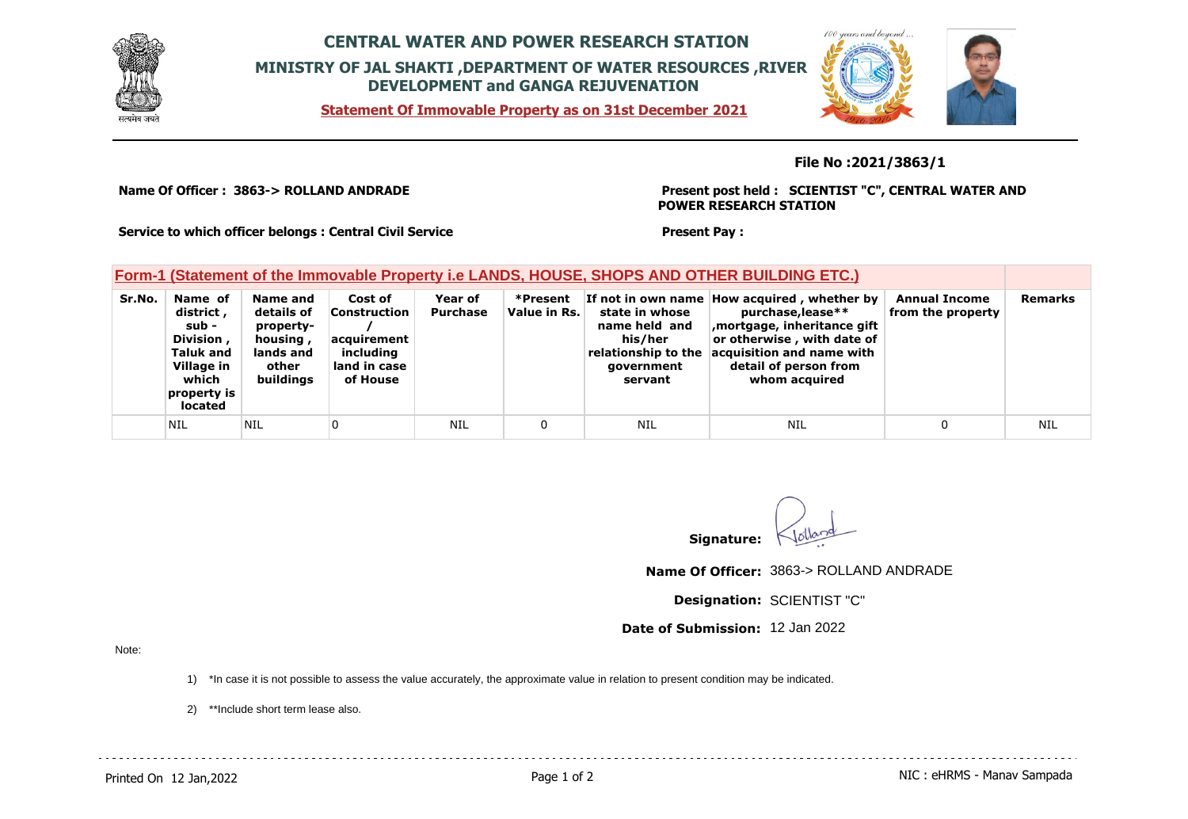

## **CENTRAL WATER AND POWER RESEARCH STATION MINISTRY OF JAL SHAKTI ,DEPARTMENT OF WATER RESOURCES ,RIVER DEVELOPMENT and GANGA REJUVENATION**

**Statement Of Immovable Property as on 31st December 2021**



**File No :2021/3863/1**

**Name Of Officer : 3863-> ROLLAND ANDRADE** 

**Village in which property is located**

**Present post held : SCIENTIST "C", CENTRAL WATER AND POWER RESEARCH STATION**

**Service to which officer belongs : Central Civil Service**

**other buildings** **land in case of House**

**Present Pay :** 

**government servant**

NIL |NIL |0 | NIL | 0 | NIL | NIL | 0 | NIL | 0 | NIL

|        | Form-1 (Statement of the Immovable Property i.e LANDS, HOUSE, SHOPS AND OTHER BUILDING ETC.) |                                                              |                                                            |                     |                          |                                            |                                                                                                                                                                              |                                           |  |
|--------|----------------------------------------------------------------------------------------------|--------------------------------------------------------------|------------------------------------------------------------|---------------------|--------------------------|--------------------------------------------|------------------------------------------------------------------------------------------------------------------------------------------------------------------------------|-------------------------------------------|--|
| Sr.No. | Name of<br>district ,<br>sub -<br>Division,<br>Taluk and                                     | Name and<br>details of<br>property-<br>housing,<br>lands and | Cost of<br><b>Construction</b><br>acquirement<br>includina | Year of<br>Purchase | *Present<br>Value in Rs. | state in whose<br>name held and<br>his/her | If not in own name How acquired, whether by<br>purchase,lease**<br>mortgage, inheritance gift<br>or otherwise, with date of<br>relationship to the acquisition and name with | <b>Annual Income</b><br>from the property |  |

**Signature:**

**detail of person from whom acquired**

**Name Of Officer:** 3863-> ROLLAND ANDRADE

**Designation:** SCIENTIST "C"

**Date of Submission:** 12 Jan 2022

Note:

1) \*In case it is not possible to assess the value accurately, the approximate value in relation to present condition may be indicated.

2) \*\*Include short term lease also.

**Remarks**